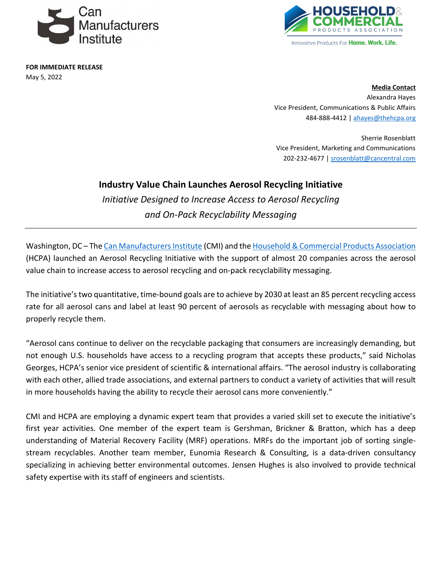

**FOR IMMEDIATE RELEASE** May 5, 2022



**Media Contact** Alexandra Hayes Vice President, Communications & Public Affairs 484-888-4412 [| ahayes@thehcpa.org](mailto:ahayes@thehcpa.org)

Sherrie Rosenblatt Vice President, Marketing and Communications 202-232-4677 [| srosenblatt@cancentral.com](mailto:srosenblatt@cancentral.com)

## **Industry Value Chain Launches Aerosol Recycling Initiative**

*Initiative Designed to Increase Access to Aerosol Recycling and On-Pack Recyclability Messaging* 

Washington, DC – The [Can Manufacturers Institute](https://cancentral.com/) (CMI) and th[e Household & Commercial Products Association](https://www.thehcpa.org/) (HCPA) launched an Aerosol Recycling Initiative with the support of almost 20 companies across the aerosol value chain to increase access to aerosol recycling and on-pack recyclability messaging.

The initiative'stwo quantitative, time-bound goals are to achieve by 2030 at least an 85 percent recycling access rate for all aerosol cans and label at least 90 percent of aerosols as recyclable with messaging about how to properly recycle them.

"Aerosol cans continue to deliver on the recyclable packaging that consumers are increasingly demanding, but not enough U.S. households have access to a recycling program that accepts these products," said Nicholas Georges, HCPA's senior vice president of scientific & international affairs. "The aerosol industry is collaborating with each other, allied trade associations, and external partners to conduct a variety of activities that will result in more households having the ability to recycle their aerosol cans more conveniently."

CMI and HCPA are employing a dynamic expert team that provides a varied skill set to execute the initiative's first year activities. One member of the expert team is Gershman, Brickner & Bratton, which has a deep understanding of Material Recovery Facility (MRF) operations. MRFs do the important job of sorting singlestream recyclables. Another team member, Eunomia Research & Consulting, is a data-driven consultancy specializing in achieving better environmental outcomes. Jensen Hughes is also involved to provide technical safety expertise with its staff of engineers and scientists.